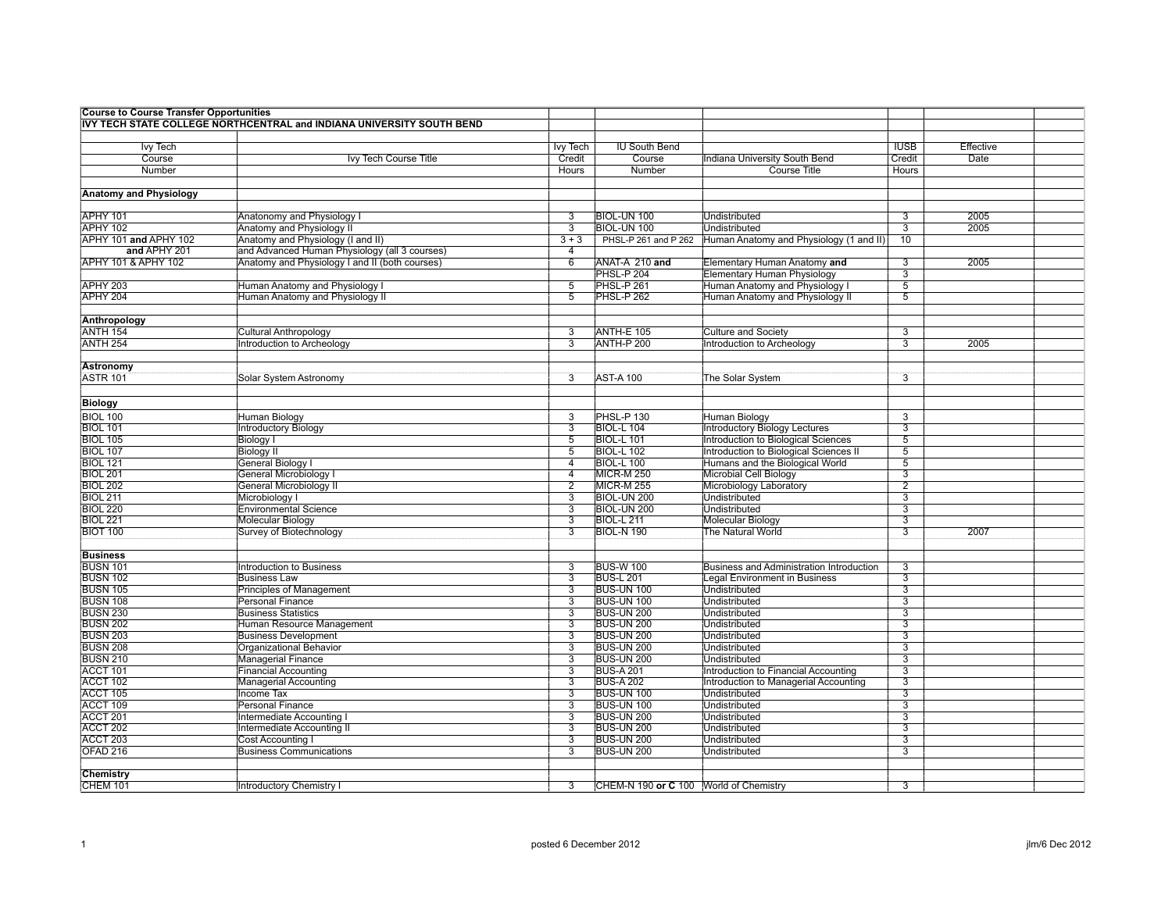| <b>Course to Course Transfer Opportunities</b> |                                                                       |                                             |                                        |                                            |                     |           |  |
|------------------------------------------------|-----------------------------------------------------------------------|---------------------------------------------|----------------------------------------|--------------------------------------------|---------------------|-----------|--|
|                                                | IVY TECH STATE COLLEGE NORTHCENTRAL and INDIANA UNIVERSITY SOUTH BEND |                                             |                                        |                                            |                     |           |  |
|                                                |                                                                       |                                             |                                        |                                            |                     |           |  |
| <b>Ivy Tech</b>                                |                                                                       | <b>Ivy Tech</b>                             | <b>IU South Bend</b>                   |                                            | <b>IUSB</b>         | Effective |  |
| Course                                         | Ivy Tech Course Title                                                 | Credit                                      | Course                                 | <b>Indiana University South Bend</b>       | Credit              | Date      |  |
| Number                                         |                                                                       | Hours                                       | Number                                 | <b>Course Title</b>                        | Hours               |           |  |
|                                                |                                                                       |                                             |                                        |                                            |                     |           |  |
| <b>Anatomy and Physiology</b>                  |                                                                       |                                             |                                        |                                            |                     |           |  |
|                                                |                                                                       |                                             |                                        |                                            |                     |           |  |
| APHY 101                                       | Anatonomy and Physiology I                                            | 3                                           | BIOL-UN 100                            | Undistributed                              | 3                   | 2005      |  |
| APHY 102                                       | Anatomy and Physiology II                                             | $\overline{3}$                              | BIOL-UN 100                            | <b>Undistributed</b>                       | $\overline{3}$      | 2005      |  |
| APHY 101 and APHY 102                          | Anatomy and Physiology (I and II)                                     | $3 + 3$                                     | PHSL-P 261 and P 262                   | Human Anatomy and Physiology (1 and II)    | 10                  |           |  |
| and APHY 201                                   | and Advanced Human Physiology (all 3 courses)                         | 4                                           |                                        |                                            |                     |           |  |
| APHY 101 & APHY 102                            |                                                                       | 6                                           |                                        |                                            | $\overline{3}$      | 2005      |  |
|                                                | Anatomy and Physiology I and II (both courses)                        |                                             | ANAT-A 210 and<br>PHSL-P 204           | Elementary Human Anatomy and               | $\overline{3}$      |           |  |
|                                                |                                                                       |                                             |                                        | <b>Elementary Human Physiology</b>         |                     |           |  |
| APHY 203                                       | Human Anatomy and Physiology I                                        | 5                                           | <b>PHSL-P 261</b>                      | Human Anatomy and Physiology I             | $\overline{5}$      |           |  |
| APHY 204                                       | Human Anatomy and Physiology II                                       | $\overline{5}$                              | PHSL-P 262                             | Human Anatomy and Physiology II            | $\overline{5}$      |           |  |
|                                                |                                                                       |                                             |                                        |                                            |                     |           |  |
| Anthropology                                   |                                                                       |                                             |                                        |                                            |                     |           |  |
| <b>ANTH 154</b>                                | <b>Cultural Anthropology</b>                                          | $\overline{3}$                              | ANTH-E 105                             | <b>Culture and Society</b>                 | $\overline{3}$      |           |  |
| <b>ANTH 254</b>                                | Introduction to Archeology                                            | $\overline{\mathbf{3}}$                     | ANTH-P 200                             | Introduction to Archeology                 | $\overline{3}$      | 2005      |  |
|                                                |                                                                       |                                             |                                        |                                            |                     |           |  |
| Astronomy                                      |                                                                       |                                             |                                        |                                            |                     |           |  |
| <b>ASTR 101</b>                                | Solar System Astronomy                                                | 3                                           | <b>AST-A 100</b>                       | The Solar System                           | 3                   |           |  |
|                                                |                                                                       |                                             |                                        |                                            |                     |           |  |
| <b>Biology</b>                                 |                                                                       |                                             |                                        |                                            |                     |           |  |
| <b>BIOL 100</b>                                | Human Biology                                                         | 3                                           | PHSL-P 130                             | Human Biology                              | 3                   |           |  |
| <b>BIOL 101</b>                                | <b>Introductory Biology</b>                                           | $\overline{3}$                              | <b>BIOL-L 104</b>                      | Introductory Biology Lectures              | $\overline{3}$      |           |  |
| <b>BIOL 105</b>                                | <b>Biology I</b>                                                      | $\overline{5}$                              | <b>BIOL-L 101</b>                      | <b>Introduction to Biological Sciences</b> | $\overline{5}$      |           |  |
| <b>BIOL 107</b>                                | <b>Biology II</b>                                                     | $\overline{5}$                              | BIOL-L 102                             | Introduction to Biological Sciences II     | 5                   |           |  |
| <b>BIOL 121</b>                                | General Biology I                                                     | 4                                           | <b>BIOL-L 100</b>                      | Humans and the Biological World            | 5                   |           |  |
| <b>BIOL 201</b>                                | General Microbiology I                                                | $\overline{4}$                              | <b>MICR-M 250</b>                      | <b>Microbial Cell Biology</b>              | 3                   |           |  |
| <b>BIOL 202</b>                                | <b>General Microbiology II</b>                                        | $\overline{2}$                              | <b>MICR-M 255</b>                      | Microbiology Laboratory                    | $\overline{2}$      |           |  |
| <b>BIOL 211</b>                                | Microbiology I                                                        | $\overline{3}$                              | <b>BIOL-UN 200</b>                     | <b>Undistributed</b>                       | 3                   |           |  |
| <b>BIOL 220</b>                                | <b>Environmental Science</b>                                          | 3                                           | BIOL-UN 200                            | Undistributed                              | 3                   |           |  |
| <b>BIOL 221</b>                                | Molecular Biology                                                     | $\overline{3}$                              | <b>BIOL-L211</b>                       | Molecular Biology                          | 3                   |           |  |
| <b>BIOT 100</b>                                | Survey of Biotechnology                                               | $\overline{3}$                              | <b>BIOL-N 190</b>                      | The Natural World                          | 3                   | 2007      |  |
|                                                |                                                                       |                                             |                                        |                                            |                     |           |  |
| <b>Business</b>                                |                                                                       |                                             |                                        |                                            |                     |           |  |
| <b>BUSN 101</b>                                | Introduction to Business                                              | 3                                           | <b>BUS-W 100</b>                       | Business and Administration Introduction   | 3                   |           |  |
| <b>BUSN 102</b>                                | <b>Business Law</b>                                                   | $\overline{3}$                              | <b>BUS-L 201</b>                       | <b>Legal Environment in Business</b>       | 3                   |           |  |
| <b>BUSN 105</b>                                | <b>Principles of Management</b>                                       | $\overline{3}$                              | <b>BUS-UN 100</b>                      | <b>Undistributed</b>                       | $\overline{3}$      |           |  |
| <b>BUSN 108</b>                                | <b>Personal Finance</b>                                               | $\overline{3}$                              | <b>BUS-UN 100</b>                      | <b>Undistributed</b>                       | $\overline{3}$      |           |  |
| <b>BUSN 230</b>                                | <b>Business Statistics</b>                                            | $\overline{3}$                              | <b>BUS-UN 200</b>                      | <b>Undistributed</b>                       | $\overline{3}$      |           |  |
| <b>BUSN 202</b>                                | Human Resource Management                                             | 3                                           | <b>BUS-UN 200</b>                      | Undistributed                              | 3                   |           |  |
| <b>BUSN 203</b>                                | <b>Business Development</b>                                           | $\overline{3}$                              | <b>BUS-UN 200</b>                      | <b>Undistributed</b>                       | $\overline{3}$      |           |  |
| <b>BUSN 208</b>                                | <b>Organizational Behavior</b>                                        | $\overline{3}$                              | <b>BUS-UN 200</b>                      | <b>Undistributed</b>                       | $\overline{3}$      |           |  |
| <b>BUSN 210</b>                                | <b>Managerial Finance</b>                                             | $\overline{3}$                              | <b>BUS-UN 200</b>                      | <b>Undistributed</b>                       | $\overline{3}$      |           |  |
| ACCT 101                                       | <b>Financial Accounting</b>                                           | $\overline{3}$                              | <b>BUS-A 201</b>                       | Introduction to Financial Accounting       | $\overline{3}$      |           |  |
| ACCT 102                                       |                                                                       | 3                                           | <b>BUS-A 202</b>                       |                                            | 3                   |           |  |
|                                                | <b>Managerial Accounting</b>                                          | $\overline{3}$                              |                                        | Introduction to Managerial Accounting      |                     |           |  |
| ACCT 105                                       | Income Tax<br>Personal Finance                                        |                                             | <b>BUS-UN 100</b><br><b>BUS-UN 100</b> | Undistributed                              | 3<br>$\overline{3}$ |           |  |
| ACCT 109                                       |                                                                       | $\overline{\overline{3}}$<br>$\overline{3}$ | <b>BUS-UN 200</b>                      | <b>Undistributed</b>                       | $\overline{3}$      |           |  |
| ACCT <sub>201</sub>                            | Intermediate Accounting I                                             |                                             |                                        | Undistributed                              |                     |           |  |
| ACCT 202                                       | <b>Intermediate Accounting II</b>                                     | $\overline{3}$                              | <b>BUS-UN 200</b>                      | <b>Undistributed</b>                       | $\overline{3}$      |           |  |
| ACCT <sub>203</sub>                            | Cost Accounting I                                                     | $\overline{3}$                              | BUS-UN 200                             | Undistributed                              | 3                   |           |  |
| OFAD <sub>216</sub>                            | <b>Business Communications</b>                                        | $\overline{3}$                              | <b>BUS-UN 200</b>                      | Undistributed                              | $\overline{3}$      |           |  |
|                                                |                                                                       |                                             |                                        |                                            |                     |           |  |
| Chemistry                                      |                                                                       |                                             |                                        |                                            |                     |           |  |
| CHEM 101                                       | <b>Introductory Chemistry I</b>                                       | 3                                           | CHEM-N 190 or C 100 World of Chemistry |                                            | 3                   |           |  |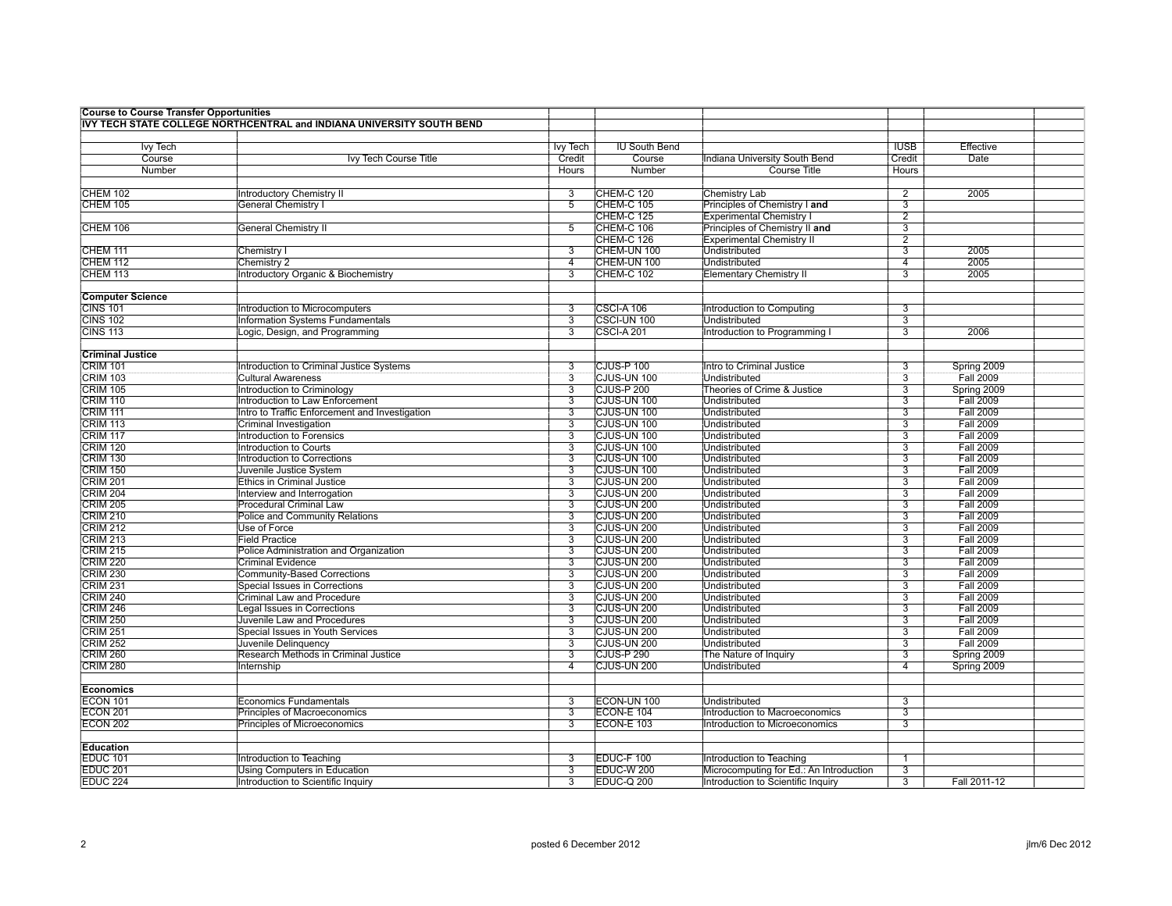| <b>Course to Course Transfer Opportunities</b> |                                                                       |                 |                      |                                         |                |                  |  |
|------------------------------------------------|-----------------------------------------------------------------------|-----------------|----------------------|-----------------------------------------|----------------|------------------|--|
|                                                | IVY TECH STATE COLLEGE NORTHCENTRAL and INDIANA UNIVERSITY SOUTH BEND |                 |                      |                                         |                |                  |  |
|                                                |                                                                       |                 |                      |                                         |                |                  |  |
| <b>Ivy Tech</b>                                |                                                                       | <b>Ivy Tech</b> | <b>IU South Bend</b> |                                         | <b>IUSB</b>    | Effective        |  |
| Course                                         | Ivy Tech Course Title                                                 | Credit          | Course               | Indiana University South Bend           | Credit         | Date             |  |
| Number                                         |                                                                       | Hours           | Number               | <b>Course Title</b>                     | <b>Hours</b>   |                  |  |
|                                                |                                                                       |                 |                      |                                         |                |                  |  |
| CHEM 102                                       | Introductory Chemistry II                                             | 3               | CHEM-C 120           | Chemistry Lab                           | 2              | 2005             |  |
| <b>CHEM 105</b>                                | <b>General Chemistry I</b>                                            | 5               | CHEM-C 105           | Principles of Chemistry I and           | $\overline{3}$ |                  |  |
|                                                |                                                                       |                 | <b>CHEM-C 125</b>    | <b>Experimental Chemistry I</b>         | $\overline{2}$ |                  |  |
| CHEM 106                                       | <b>General Chemistry II</b>                                           | 5               | CHEM-C 106           | Principles of Chemistry II and          | $\overline{3}$ |                  |  |
|                                                |                                                                       |                 | <b>CHEM-C 126</b>    | <b>Experimental Chemistry II</b>        | $\overline{2}$ |                  |  |
| <b>CHEM 111</b>                                | Chemistry I                                                           | 3               | CHEM-UN 100          | Undistributed                           | 3              | 2005             |  |
| <b>CHEM 112</b>                                | Chemistry 2                                                           | $\overline{4}$  | CHEM-UN 100          | <b>Undistributed</b>                    | $\overline{4}$ | 2005             |  |
| <b>CHEM 113</b>                                | <b>Introductory Organic &amp; Biochemistry</b>                        | $\overline{3}$  | <b>CHEM-C 102</b>    | <b>Elementary Chemistry II</b>          | 3              | 2005             |  |
|                                                |                                                                       |                 |                      |                                         |                |                  |  |
| <b>Computer Science</b>                        |                                                                       |                 |                      |                                         |                |                  |  |
| <b>CINS 101</b>                                | Introduction to Microcomputers                                        | 3               | CSCI-A 106           | Introduction to Computing               | 3              |                  |  |
| <b>CINS 102</b>                                | <b>Information Systems Fundamentals</b>                               | $\overline{3}$  | CSCI-UN 100          | <b>Undistributed</b>                    | $\overline{3}$ |                  |  |
| <b>CINS 113</b>                                | Logic, Design, and Programming                                        | 3               | <b>CSCI-A201</b>     | Introduction to Programming I           | $\overline{3}$ | 2006             |  |
|                                                |                                                                       |                 |                      |                                         |                |                  |  |
| <b>Criminal Justice</b>                        |                                                                       |                 |                      |                                         |                |                  |  |
| <b>CRIM 101</b>                                | Introduction to Criminal Justice Systems                              | 3               | CJUS-P 100           | Intro to Criminal Justice               | 3              | Spring 2009      |  |
| <b>CRIM 103</b>                                | <b>Cultural Awareness</b>                                             | $\overline{3}$  | CJUS-UN 100          | <b>Undistributed</b>                    | $\overline{3}$ | <b>Fall 2009</b> |  |
| <b>CRIM 105</b>                                | <b>Introduction to Criminology</b>                                    | 3               | CJUS-P 200           | <b>Theories of Crime &amp; Justice</b>  | $\overline{3}$ | Spring 2009      |  |
| <b>CRIM 110</b>                                | Introduction to Law Enforcement                                       | 3               | CJUS-UN 100          | <b>Undistributed</b>                    | $\overline{3}$ | <b>Fall 2009</b> |  |
| <b>CRIM 111</b>                                | Intro to Traffic Enforcement and Investigation                        | $\overline{3}$  | CJUS-UN 100          | <b>Undistributed</b>                    | $\overline{3}$ | <b>Fall 2009</b> |  |
| <b>CRIM 113</b>                                | Criminal Investigation                                                | 3               | CJUS-UN 100          | Undistributed                           | 3              | <b>Fall 2009</b> |  |
| <b>CRIM 117</b>                                | Introduction to Forensics                                             | $\overline{3}$  | CJUS-UN 100          | <b>Undistributed</b>                    | $\overline{3}$ | <b>Fall 2009</b> |  |
| <b>CRIM 120</b>                                | Introduction to Courts                                                | 3               | CJUS-UN 100          | Undistributed                           | 3              | <b>Fall 2009</b> |  |
| <b>CRIM 130</b>                                | <b>Introduction to Corrections</b>                                    | $\overline{3}$  | CJUS-UN 100          | <b>Undistributed</b>                    | $\overline{3}$ | <b>Fall 2009</b> |  |
| <b>CRIM 150</b>                                | Juvenile Justice System                                               | $\overline{3}$  | CJUS-UN 100          | Undistributed                           | $\overline{3}$ | <b>Fall 2009</b> |  |
| <b>CRIM 201</b>                                | <b>Ethics in Criminal Justice</b>                                     | 3               | CJUS-UN 200          | Undistributed                           | $\overline{3}$ | <b>Fall 2009</b> |  |
| <b>CRIM 204</b>                                | Interview and Interrogation                                           | $\overline{3}$  | CJUS-UN 200          | <b>Undistributed</b>                    | $\overline{3}$ | <b>Fall 2009</b> |  |
| <b>CRIM 205</b>                                | <b>Procedural Criminal Law</b>                                        | 3               | CJUS-UN 200          | <b>Undistributed</b>                    | $\overline{3}$ | <b>Fall 2009</b> |  |
| <b>CRIM 210</b>                                | <b>Police and Community Relations</b>                                 | $\overline{3}$  | CJUS-UN 200          | Undistributed                           | $\overline{3}$ | <b>Fall 2009</b> |  |
| <b>CRIM 212</b>                                | Use of Force                                                          | $\overline{3}$  | CJUS-UN 200          | <b>Undistributed</b>                    | $\overline{3}$ | <b>Fall 2009</b> |  |
| <b>CRIM 213</b>                                | <b>Field Practice</b>                                                 | 3               | CJUS-UN 200          | Undistributed                           | $\overline{3}$ | <b>Fall 2009</b> |  |
| <b>CRIM 215</b>                                | Police Administration and Organization                                | $\overline{3}$  | CJUS-UN 200          | <b>Undistributed</b>                    | $\overline{3}$ | <b>Fall 2009</b> |  |
| <b>CRIM 220</b>                                | <b>Criminal Evidence</b>                                              | $\overline{3}$  | CJUS-UN 200          | Undistributed                           | $\overline{3}$ | <b>Fall 2009</b> |  |
| <b>CRIM 230</b>                                | Community-Based Corrections                                           | $\overline{3}$  | CJUS-UN 200          | <b>Undistributed</b>                    | 3              | <b>Fall 2009</b> |  |
| <b>CRIM 231</b>                                | Special Issues in Corrections                                         | 3               | CJUS-UN 200          | Undistributed                           | 3              | <b>Fall 2009</b> |  |
| <b>CRIM 240</b>                                | Criminal Law and Procedure                                            | 3               | CJUS-UN 200          | Undistributed                           | $\overline{3}$ | <b>Fall 2009</b> |  |
| <b>CRIM 246</b>                                | Legal Issues in Corrections                                           | $\overline{3}$  | CJUS-UN 200          | Undistributed                           | $\overline{3}$ | <b>Fall 2009</b> |  |
| <b>CRIM 250</b>                                | Juvenile Law and Procedures                                           | $\overline{3}$  | CJUS-UN 200          | <b>Undistributed</b>                    | $\overline{3}$ | <b>Fall 2009</b> |  |
| <b>CRIM 251</b>                                | <b>Special Issues in Youth Services</b>                               | $\overline{3}$  | CJUS-UN 200          | Undistributed                           | $\overline{3}$ | <b>Fall 2009</b> |  |
| <b>CRIM 252</b>                                | Juvenile Delinquency                                                  | $\overline{3}$  | CJUS-UN 200          | <b>Undistributed</b>                    | $\overline{3}$ | <b>Fall 2009</b> |  |
| <b>CRIM 260</b>                                | Research Methods in Criminal Justice                                  | 3               | CJUS-P 290           | The Nature of Inquiry                   | $\overline{3}$ | Spring 2009      |  |
| <b>CRIM 280</b>                                | Internship                                                            | $\overline{4}$  | CJUS-UN 200          | <b>Undistributed</b>                    | $\overline{4}$ | Spring 2009      |  |
|                                                |                                                                       |                 |                      |                                         |                |                  |  |
| <b>Economics</b>                               |                                                                       |                 |                      |                                         |                |                  |  |
| <b>ECON 101</b>                                | <b>Economics Fundamentals</b>                                         | 3               | ECON-UN 100          | Undistributed                           | 3              |                  |  |
| <b>ECON 201</b>                                | Principles of Macroeconomics                                          | $\overline{3}$  | <b>ECON-E 104</b>    | Introduction to Macroeconomics          | 3              |                  |  |
| <b>ECON 202</b>                                | Principles of Microeconomics                                          | 3               | <b>ECON-E 103</b>    | Introduction to Microeconomics          | 3              |                  |  |
|                                                |                                                                       |                 |                      |                                         |                |                  |  |
| Education                                      |                                                                       |                 |                      |                                         |                |                  |  |
| <b>EDUC 101</b>                                | Introduction to Teaching                                              | 3               | EDUC-F 100           | Introduction to Teaching                | $\overline{1}$ |                  |  |
| EDUC <sub>201</sub>                            | Using Computers in Education                                          | 3               | EDUC-W 200           | Microcomputing for Ed.: An Introduction | 3              |                  |  |
| EDUC <sub>224</sub>                            | Introduction to Scientific Inquiry                                    | 3               | EDUC-Q 200           | Introduction to Scientific Inquiry      | $\overline{3}$ | Fall 2011-12     |  |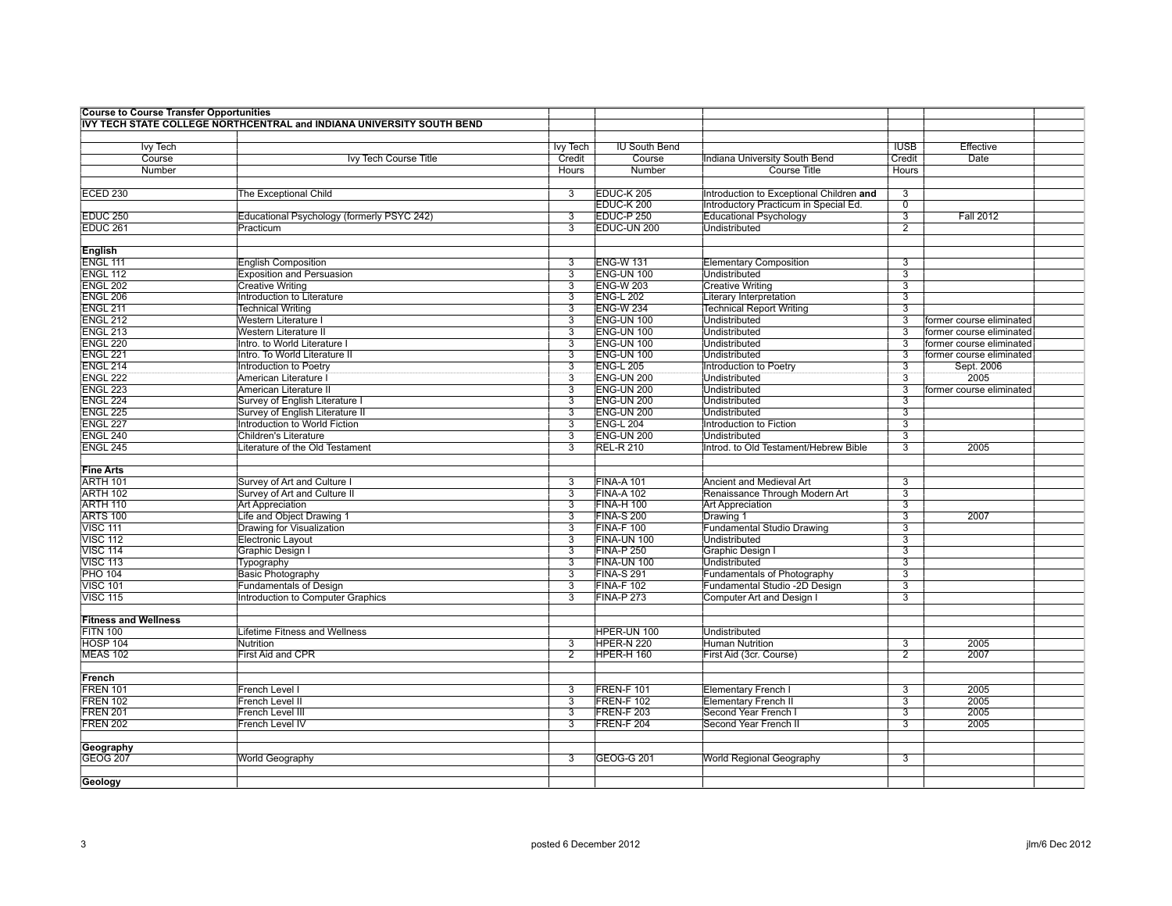| <b>Course to Course Transfer Opportunities</b> |                                                                       |                           |                      |                                          |                           |                          |  |
|------------------------------------------------|-----------------------------------------------------------------------|---------------------------|----------------------|------------------------------------------|---------------------------|--------------------------|--|
|                                                | IVY TECH STATE COLLEGE NORTHCENTRAL and INDIANA UNIVERSITY SOUTH BEND |                           |                      |                                          |                           |                          |  |
|                                                |                                                                       |                           |                      |                                          |                           |                          |  |
| <b>Ivy Tech</b>                                |                                                                       | <b>Ivy Tech</b>           | <b>IU South Bend</b> |                                          | <b>IUSB</b>               | Effective                |  |
| Course                                         | Ivy Tech Course Title                                                 | Credit                    | Course               | Indiana University South Bend            | Credit                    | Date                     |  |
| Number                                         |                                                                       | Hours                     | Number               | <b>Course Title</b>                      | <b>Hours</b>              |                          |  |
|                                                |                                                                       |                           |                      |                                          |                           |                          |  |
| <b>ECED 230</b>                                | The Exceptional Child                                                 | 3                         | EDUC-K 205           | Introduction to Exceptional Children and | 3                         |                          |  |
|                                                |                                                                       |                           | EDUC-K 200           | Introductory Practicum in Special Ed.    | $\overline{0}$            |                          |  |
| <b>EDUC 250</b>                                | Educational Psychology (formerly PSYC 242)                            | 3                         | EDUC-P 250           | <b>Educational Psychology</b>            | $\overline{3}$            | <b>Fall 2012</b>         |  |
| EDUC <sub>261</sub>                            | Practicum                                                             | $\overline{3}$            | EDUC-UN 200          | <b>Undistributed</b>                     | $\overline{2}$            |                          |  |
|                                                |                                                                       |                           |                      |                                          |                           |                          |  |
| English                                        |                                                                       |                           |                      |                                          |                           |                          |  |
| ENGL 111                                       | <b>English Composition</b>                                            | 3                         | <b>ENG-W131</b>      | <b>Elementary Composition</b>            | 3                         |                          |  |
| <b>ENGL 112</b>                                | <b>Exposition and Persuasion</b>                                      | $\overline{3}$            | ENG-UN 100           | Undistributed                            | 3                         |                          |  |
| <b>ENGL 202</b>                                | <b>Creative Writing</b>                                               | $\overline{3}$            | <b>ENG-W 203</b>     | <b>Creative Writing</b>                  | $\overline{3}$            |                          |  |
| <b>ENGL 206</b>                                | Introduction to Literature                                            | $\overline{3}$            | <b>ENG-L 202</b>     | <b>Literary Interpretation</b>           | 3                         |                          |  |
| <b>ENGL 211</b>                                |                                                                       | 3                         | <b>ENG-W 234</b>     | <b>Technical Report Writing</b>          | 3                         |                          |  |
|                                                | <b>Technical Writing</b>                                              |                           |                      |                                          |                           |                          |  |
| <b>ENGL 212</b>                                | <b>Western Literature I</b>                                           | $\overline{3}$            | <b>ENG-UN 100</b>    | <b>Undistributed</b>                     | $\overline{3}$            | former course eliminated |  |
| <b>ENGL 213</b>                                | Western Literature II                                                 | $\overline{3}$            | ENG-UN 100           | Undistributed                            | $\overline{3}$            | former course eliminated |  |
| <b>ENGL 220</b>                                | Intro. to World Literature I                                          | $\overline{\overline{3}}$ | ENG-UN 100           | <b>Undistributed</b>                     | $\overline{3}$            | former course eliminated |  |
| <b>ENGL 221</b>                                | Intro. To World Literature II                                         | $\overline{3}$            | ENG-UN 100           | Undistributed                            | 3                         | former course eliminated |  |
| ENGL 214                                       | Introduction to Poetry                                                | 3                         | <b>ENG-L 205</b>     | Introduction to Poetry                   | 3                         | Sept. 2006               |  |
| <b>ENGL 222</b>                                | American Literature I                                                 | $\overline{3}$            | ENG-UN 200           | Undistributed                            | $\overline{3}$            | 2005                     |  |
| <b>ENGL 223</b>                                | American Literature II                                                | $\overline{3}$            | ENG-UN 200           | Undistributed                            | $\overline{3}$            | former course eliminated |  |
| <b>ENGL 224</b>                                | Survey of English Literature I                                        | 3                         | ENG-UN 200           | <b>Undistributed</b>                     | $\overline{\overline{3}}$ |                          |  |
| <b>ENGL 225</b>                                | Survey of English Literature II                                       | $\overline{3}$            | <b>ENG-UN 200</b>    | <b>Undistributed</b>                     | 3                         |                          |  |
| ENGL 227                                       | Introduction to World Fiction                                         | 3                         | <b>ENG-L 204</b>     | Introduction to Fiction                  | $\overline{3}$            |                          |  |
| <b>ENGL 240</b>                                | <b>Children's Literature</b>                                          | $\overline{3}$            | ENG-UN 200           | Undistributed                            | 3                         |                          |  |
| <b>ENGL 245</b>                                | Literature of the Old Testament                                       | $\overline{3}$            | <b>REL-R 210</b>     | Introd. to Old Testament/Hebrew Bible    | $\overline{3}$            | 2005                     |  |
|                                                |                                                                       |                           |                      |                                          |                           |                          |  |
| <b>Fine Arts</b>                               |                                                                       |                           |                      |                                          |                           |                          |  |
| <b>ARTH 101</b>                                | Survey of Art and Culture I                                           | 3                         | <b>FINA-A 101</b>    | Ancient and Medieval Art                 | 3                         |                          |  |
| <b>ARTH 102</b>                                | Survey of Art and Culture II                                          | $\overline{3}$            | <b>FINA-A 102</b>    | Renaissance Through Modern Art           | $\overline{3}$            |                          |  |
| <b>ARTH 110</b>                                | <b>Art Appreciation</b>                                               | $\overline{3}$            | <b>FINA-H 100</b>    | <b>Art Appreciation</b>                  | $\overline{3}$            |                          |  |
| <b>ARTS 100</b>                                | Life and Object Drawing 1                                             | $\overline{3}$            | <b>FINA-S 200</b>    | Drawing 1                                | $\overline{3}$            | 2007                     |  |
| <b>VISC 111</b>                                | Drawing for Visualization                                             | $\overline{3}$            | <b>FINA-F100</b>     | <b>Fundamental Studio Drawing</b>        | $\overline{3}$            |                          |  |
| <b>VISC 112</b>                                | <b>Electronic Layout</b>                                              | 3                         | FINA-UN 100          | Undistributed                            | 3                         |                          |  |
| <b>VISC 114</b>                                | <b>Graphic Design I</b>                                               | $\overline{3}$            | <b>FINA-P 250</b>    | Graphic Design I                         | $\overline{3}$            |                          |  |
| <b>VISC 113</b>                                | Typography                                                            | $\overline{3}$            | <b>FINA-UN 100</b>   | <b>Undistributed</b>                     | $\overline{3}$            |                          |  |
| <b>PHO 104</b>                                 | Basic Photography                                                     | $\overline{\overline{3}}$ | <b>FINA-S 291</b>    |                                          | $\overline{3}$            |                          |  |
|                                                |                                                                       |                           |                      | <b>Fundamentals of Photography</b>       |                           |                          |  |
| <b>VISC 101</b>                                | <b>Fundamentals of Design</b>                                         | $\overline{3}$            | <b>FINA-F102</b>     | Fundamental Studio -2D Design            | $\overline{3}$            |                          |  |
| <b>VISC 115</b>                                | Introduction to Computer Graphics                                     | 3                         | <b>FINA-P273</b>     | Computer Art and Design I                | $\overline{3}$            |                          |  |
|                                                |                                                                       |                           |                      |                                          |                           |                          |  |
| <b>Fitness and Wellness</b>                    |                                                                       |                           |                      |                                          |                           |                          |  |
| <b>FITN 100</b>                                | <b>Lifetime Fitness and Wellness</b>                                  |                           | HPER-UN 100          | <b>Undistributed</b>                     |                           |                          |  |
| <b>HOSP 104</b>                                | Nutrition                                                             | $\overline{3}$            | HPER-N 220           | <b>Human Nutrition</b>                   | $\overline{3}$            | 2005                     |  |
| <b>MEAS 102</b>                                | <b>First Aid and CPR</b>                                              | 2                         | HPER-H 160           | First Aid (3cr. Course)                  | $\overline{2}$            | 2007                     |  |
|                                                |                                                                       |                           |                      |                                          |                           |                          |  |
| French                                         |                                                                       |                           |                      |                                          |                           |                          |  |
| <b>FREN 101</b>                                | French Level I                                                        | 3                         | FREN-F 101           | <b>Elementary French I</b>               | 3                         | 2005                     |  |
| <b>FREN 102</b>                                | <b>French Level II</b>                                                | $\overline{3}$            | <b>FREN-F 102</b>    | <b>Elementary French II</b>              | $\overline{3}$            | 2005                     |  |
| <b>FREN 201</b>                                | French Level III                                                      | 3                         | FREN-F 203           | Second Year French I                     | 3                         | 2005                     |  |
| <b>FREN 202</b>                                | <b>French Level IV</b>                                                | $\overline{3}$            | FREN-F 204           | Second Year French II                    | $\overline{3}$            | 2005                     |  |
|                                                |                                                                       |                           |                      |                                          |                           |                          |  |
| Geography                                      |                                                                       |                           |                      |                                          |                           |                          |  |
| <b>GEOG 207</b>                                | <b>World Geography</b>                                                | 3                         | <b>GEOG-G 201</b>    | <b>World Regional Geography</b>          | 3                         |                          |  |
|                                                |                                                                       |                           |                      |                                          |                           |                          |  |
| Geology                                        |                                                                       |                           |                      |                                          |                           |                          |  |
|                                                |                                                                       |                           |                      |                                          |                           |                          |  |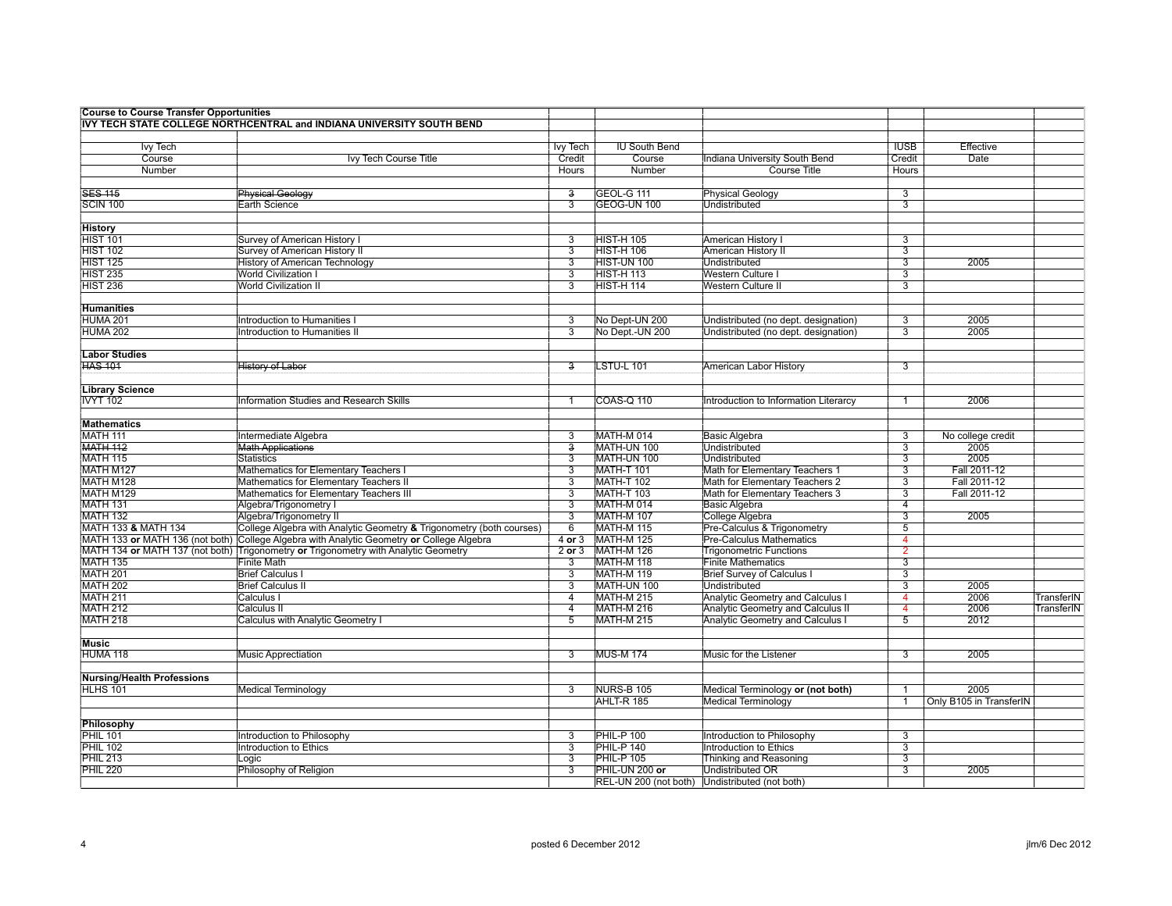| <b>Course to Course Transfer Opportunities</b> |                                                                                                           |                           |                                 |                                                                   |                                  |                         |                   |
|------------------------------------------------|-----------------------------------------------------------------------------------------------------------|---------------------------|---------------------------------|-------------------------------------------------------------------|----------------------------------|-------------------------|-------------------|
|                                                | IVY TECH STATE COLLEGE NORTHCENTRAL and INDIANA UNIVERSITY SOUTH BEND                                     |                           |                                 |                                                                   |                                  |                         |                   |
|                                                |                                                                                                           |                           |                                 |                                                                   |                                  |                         |                   |
| lvy Tech                                       |                                                                                                           | Ivy Tech                  | <b>IU South Bend</b>            |                                                                   | <b>IUSB</b>                      | Effective               |                   |
| Course                                         | Ivy Tech Course Title                                                                                     | Credit                    | Course                          | Indiana University South Bend                                     | Credit                           | Date                    |                   |
| Number                                         |                                                                                                           | Hours                     | Number                          | <b>Course Title</b>                                               | Hours                            |                         |                   |
|                                                |                                                                                                           |                           |                                 |                                                                   |                                  |                         |                   |
| <b>SES 115</b>                                 | <b>Physical Geology</b>                                                                                   | з                         | GEOL-G 111                      | <b>Physical Geology</b>                                           | 3                                |                         |                   |
| <b>SCIN 100</b>                                | Earth Science                                                                                             | 3                         | GEOG-UN 100                     | Undistributed                                                     | 3                                |                         |                   |
|                                                |                                                                                                           |                           |                                 |                                                                   |                                  |                         |                   |
| History                                        |                                                                                                           |                           |                                 |                                                                   |                                  |                         |                   |
| <b>HIST 101</b><br><b>HIST 102</b>             | Survey of American History I<br>Survey of American History II                                             | 3<br>3                    | <b>HIST-H 105</b><br>HIST-H 106 | American History I<br>American History II                         | 3<br>3                           |                         |                   |
| <b>HIST 125</b>                                | <b>History of American Technology</b>                                                                     | $\overline{3}$            | HIST-UN 100                     | <b>Undistributed</b>                                              | $\overline{3}$                   | 2005                    |                   |
| <b>HIST 235</b>                                | <b>World Civilization I</b>                                                                               | 3                         | <b>HIST-H113</b>                | Western Culture I                                                 | 3                                |                         |                   |
| <b>HIST 236</b>                                | <b>World Civilization II</b>                                                                              | 3                         | HIST-H 114                      | <b>Western Culture II</b>                                         | $\overline{\overline{3}}$        |                         |                   |
|                                                |                                                                                                           |                           |                                 |                                                                   |                                  |                         |                   |
| <b>Humanities</b>                              |                                                                                                           |                           |                                 |                                                                   |                                  |                         |                   |
| HUMA 201                                       | Introduction to Humanities I                                                                              | 3                         | No Dept-UN 200                  | Undistributed (no dept. designation)                              | 3                                | 2005                    |                   |
| HUMA 202                                       | <b>Introduction to Humanities II</b>                                                                      | $\overline{3}$            | No Dept.-UN 200                 | Undistributed (no dept. designation)                              | $\overline{\mathbf{3}}$          | 2005                    |                   |
|                                                |                                                                                                           |                           |                                 |                                                                   |                                  |                         |                   |
| <b>Labor Studies</b>                           |                                                                                                           |                           |                                 |                                                                   |                                  |                         |                   |
| <b>HAS 101</b>                                 | History of Labor                                                                                          | з                         | LSTU-L 101                      | American Labor History                                            | 3                                |                         |                   |
|                                                |                                                                                                           |                           |                                 |                                                                   |                                  |                         |                   |
| <b>Library Science</b>                         |                                                                                                           |                           |                                 |                                                                   |                                  |                         |                   |
| <b>IVYT 102</b>                                | Information Studies and Research Skills                                                                   |                           | <b>COAS-Q 110</b>               | Introduction to Information Literarcy                             |                                  | 2006                    |                   |
|                                                |                                                                                                           |                           |                                 |                                                                   |                                  |                         |                   |
| <b>Mathematics</b>                             |                                                                                                           |                           |                                 |                                                                   |                                  |                         |                   |
| MATH 111                                       | Intermediate Algebra                                                                                      | 3                         | MATH-M 014                      | <b>Basic Algebra</b>                                              | 3                                | No college credit       |                   |
| <b>MATH 112</b>                                | <b>Math Applications</b>                                                                                  | $\overline{\overline{3}}$ | MATH-UN 100                     | <b>Undistributed</b>                                              | $\overline{3}$                   | 2005                    |                   |
| <b>MATH 115</b>                                | <b>Statistics</b>                                                                                         | $\overline{3}$            | MATH-UN 100                     | <b>Undistributed</b>                                              | $\overline{3}$                   | 2005                    |                   |
| MATH M127                                      | Mathematics for Elementary Teachers I                                                                     | $\overline{3}$            | <b>MATH-T 101</b>               | Math for Elementary Teachers 1                                    | $\overline{3}$                   | Fall 2011-12            |                   |
| MATH M128                                      | Mathematics for Elementary Teachers II                                                                    | 3                         | MATH-T 102                      | Math for Elementary Teachers 2                                    | $\overline{3}$                   | Fall 2011-12            |                   |
| MATH M129                                      | Mathematics for Elementary Teachers III                                                                   | $\overline{\overline{3}}$ | <b>MATH-T 103</b>               | Math for Elementary Teachers 3                                    | $\overline{3}$                   | Fall 2011-12            |                   |
| <b>MATH 131</b>                                | Algebra/Trigonometry I                                                                                    | $\overline{3}$            | MATH-M 014                      | <b>Basic Algebra</b>                                              | $\overline{4}$                   |                         |                   |
| <b>MATH 132</b>                                | Algebra/Trigonometry II                                                                                   | $\overline{3}$            | MATH-M 107                      | <b>College Algebra</b>                                            | $\overline{3}$                   | 2005                    |                   |
| MATH 133 & MATH 134                            | College Algebra with Analytic Geometry & Trigonometry (both courses)                                      | 6                         | MATH-M 115                      | Pre-Calculus & Trigonometry                                       | $\overline{5}$                   |                         |                   |
|                                                | MATH 133 or MATH 136 (not both) College Algebra with Analytic Geometry or College Algebra                 | $4$ or $3$<br>2 or 3      | MATH-M 125<br>MATH-M 126        | <b>Pre-Calculus Mathematics</b><br><b>Trigonometric Functions</b> | $\overline{4}$<br>$\overline{2}$ |                         |                   |
| <b>MATH 135</b>                                | MATH 134 or MATH 137 (not both) Trigonometry or Trigonometry with Analytic Geometry<br><b>Finite Math</b> | $\overline{3}$            | MATH-M 118                      | <b>Finite Mathematics</b>                                         | $\overline{3}$                   |                         |                   |
| <b>MATH 201</b>                                | <b>Brief Calculus I</b>                                                                                   | 3                         | <b>MATH-M 119</b>               | <b>Brief Survey of Calculus I</b>                                 | 3                                |                         |                   |
| <b>MATH 202</b>                                | <b>Brief Calculus II</b>                                                                                  | $\overline{3}$            | MATH-UN 100                     | <b>Undistributed</b>                                              | $\overline{3}$                   | 2005                    |                   |
| <b>MATH 211</b>                                | Calculus I                                                                                                | $\overline{4}$            | MATH-M 215                      | Analytic Geometry and Calculus I                                  | $\overline{4}$                   | 2006                    | TransferIN        |
| <b>MATH 212</b>                                | <b>Calculus II</b>                                                                                        | $\overline{4}$            | MATH-M 216                      | <b>Analytic Geometry and Calculus II</b>                          | $\overline{4}$                   | 2006                    | <b>TransferIN</b> |
| <b>MATH 218</b>                                | Calculus with Analytic Geometry I                                                                         | 5                         | <b>MATH-M 215</b>               | <b>Analytic Geometry and Calculus I</b>                           | 5                                | 2012                    |                   |
|                                                |                                                                                                           |                           |                                 |                                                                   |                                  |                         |                   |
| Music                                          |                                                                                                           |                           |                                 |                                                                   |                                  |                         |                   |
| HUMA 118                                       | <b>Music Apprectiation</b>                                                                                | 3                         | <b>MUS-M174</b>                 | Music for the Listener                                            | $\overline{3}$                   | 2005                    |                   |
|                                                |                                                                                                           |                           |                                 |                                                                   |                                  |                         |                   |
| <b>Nursing/Health Professions</b>              |                                                                                                           |                           |                                 |                                                                   |                                  |                         |                   |
| <b>HLHS 101</b>                                | Medical Terminology                                                                                       | 3                         | NURS-B 105                      | Medical Terminology or (not both)                                 | -1                               | 2005                    |                   |
|                                                |                                                                                                           |                           | AHLT-R 185                      | <b>Medical Terminology</b>                                        |                                  | Only B105 in TransferIN |                   |
|                                                |                                                                                                           |                           |                                 |                                                                   |                                  |                         |                   |
| Philosophy                                     |                                                                                                           |                           |                                 |                                                                   |                                  |                         |                   |
| <b>PHIL 101</b>                                | Introduction to Philosophy                                                                                | 3                         | PHIL-P 100                      | Introduction to Philosophy                                        | $\overline{3}$                   |                         |                   |
| <b>PHIL 102</b>                                | <b>Introduction to Ethics</b>                                                                             | $\overline{3}$            | PHIL-P 140                      | Introduction to Ethics                                            | $\overline{3}$                   |                         |                   |
| <b>PHIL 213</b>                                | Logic                                                                                                     | 3                         | PHIL-P 105                      | <b>Thinking and Reasoning</b>                                     | 3                                |                         |                   |
| PHIL 220                                       | Philosophy of Religion                                                                                    | 3                         | PHIL-UN 200 or                  | Undistributed OR                                                  | 3                                | 2005                    |                   |
|                                                |                                                                                                           |                           |                                 | REL-UN 200 (not both) Undistributed (not both)                    |                                  |                         |                   |